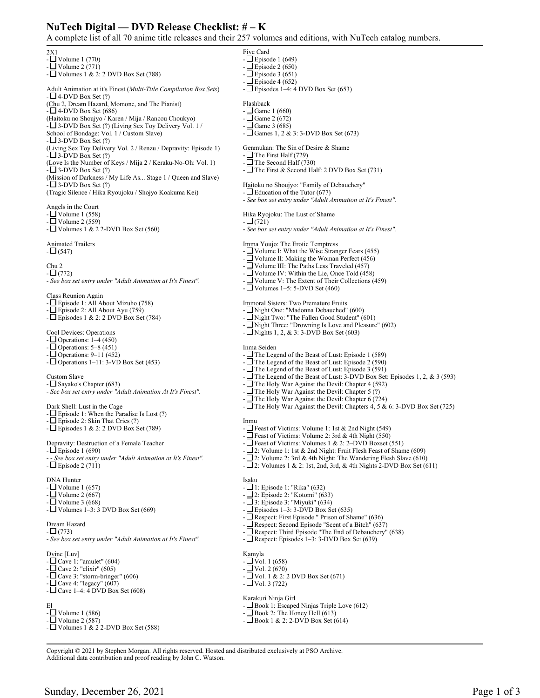## **NuTech Digital — DVD Release Checklist: # – K**

A complete list of all 70 anime title releases and their 257 volumes and editions, with NuTech catalog numbers.

 $2X1$  $-L$  Volume 1 (770)  $\Box$  Volume 2 (771) -  $\Box$  Volumes 1 & 2: 2 DVD Box Set (788) Adult Animation at it's Finest (*Multi-Title Compilation Box Sets*)  $- \Box$  4-DVD Box Set (?) (Chu 2, Dream Hazard, Momone, and The Pianist)  $-L = 4-DVD$  Box Set (686) (Haitoku no Shoujyo / Karen / Mija / Rancou Choukyo) - 3-DVD Box Set (?) (Living Sex Toy Delivery Vol. 1 / School of Bondage: Vol. 1 / Custom Slave)  $-$  3-DVD Box Set  $(?)$ (Living Sex Toy Delivery Vol. 2 / Renzu / Depravity: Episode 1)  $-$  3-DVD Box Set  $(?)$ (Love Is the Number of Keys / Mija 2 / Keraku-No-Oh: Vol. 1)  $\overline{\phantom{a}}$  3-DVD Box Set (?) (Mission of Darkness / My Life As... Stage 1 / Queen and Slave)  $-$  3-DVD Box Set  $(?)$ (Tragic Silence / Hika Ryoujoku / Shojyo Koakuma Kei) Angels in the Court - Volume 1 (558) - Volume 2 (559) -  $\Box$  Volumes 1 & 2 2-DVD Box Set (560) Animated Trailers  $-L(547)$ Chu 2  $-L(772)$ - *See box set entry under "Adult Animation at It's Finest".* Class Reunion Again - Episode 1: All About Mizuho (758) - Episode 2: All About Ayu (759) -  $\square$  Episodes 1 & 2: 2 DVD Box Set (784) Cool Devices: Operations - Operations: 1–4 (450)  $-$  Operations: 5–8 (451) -  $\Box$  Operations: 9–11 (452) -  $\Box$  Operations 1–11: 3-VD Box Set (453) Custom Slave - Sayako's Chapter (683) - *See box set entry under "Adult Animation At It's Finest".* Dark Shell: Lust in the Cage -  $\square$  Episode 1: When the Paradise Is Lost (?)  $-\Box$  Episode 2: Skin That Cries (?) -  $\square$  Episodes 1 & 2: 2 DVD Box Set (789) Depravity: Destruction of a Female Teacher  $-\Box$  Episode 1 (690) - See box set entry under "Adult Animation at It's Finest".  $-\Box$  Episode 2 (711) DNA Hunter  $-$  Volume 1 (657)  $-L$ Volume 2 (667) - Volume 3 (668) -  $\Box$  Volumes 1–3: 3 DVD Box Set (669) Dream Hazard  $- \Box (773)$ - *See box set entry under "Adult Animation at It's Finest".* Dvine [Luv]  $-L$ Cave 1: "amulet" (604) - Cave 2: "elixir" (605)  $-L$ Cave 3: "storm-bringer" (606) - Cave 4: "legacy" (607)  $-\Box$  Cave 1–4: 4 DVD Box Set (608) El -  $\Box$  Volume 1 (586) - Volume 2 (587) -  $\Box$  Volumes 1 & 2 2-DVD Box Set (588) Five Card  $-\Box$  Episode 1 (649)  $\Box$  Episode 2 (650)  $-\Box$  Episode 3 (651)  $\Box$  Episode 4 (652)  $-\Box$  Episodes 1–4: 4 DVD Box Set (653) Flashback  $- \square$  Game 1 (660)  $\Box$  Game 2 (672)  $\Box$  Game 3 (685) -  $\Box$  Games 1, 2 & 3: 3-DVD Box Set (673) Genmukan: The Sin of Desire & Shame - $\Box$  The First Half (729) -  $\Box$  The Second Half (730) - The First & Second Half: 2 DVD Box Set (731) Haitoku no Shoujyo: "Family of Debauchery" -  $\Box$  Education of the Tutor (677) - *See box set entry under "Adult Animation at It's Finest".* Hika Ryojoku: The Lust of Shame  $-T(721)$ - *See box set entry under "Adult Animation at It's Finest".* Imma Youjo: The Erotic Temptress -  $\Box$  Volume I: What the Wise Stranger Fears (455)  $\Box$  Volume II: Making the Woman Perfect (456) - Volume III: The Paths Less Traveled (457)  $-L$  Volume IV: Within the Lie, Once Told (458)  $\Box$  Volume V: The Extent of Their Collections (459) - Volumes 1–5: 5-DVD Set (460) Immoral Sisters: Two Premature Fruits - Night One: "Madonna Debauched" (600) - Night Two: "The Fallen Good Student" (601)  $\Box$  Night Three: "Drowning Is Love and Pleasure" (602)  $-$  Nights 1, 2, & 3: 3-DVD Box Set (603) Inma Seiden - The Legend of the Beast of Lust: Episode 1 (589) -  $\Box$  The Legend of the Beast of Lust: Episode 2 (590) -  $\Box$  The Legend of the Beast of Lust: Episode 3 (591) - The Legend of the Beast of Lust: 3-DVD Box Set: Episodes 1, 2, & 3 (593) - The Holy War Against the Devil: Chapter 4 (592) -  $\Box$  The Holy War Against the Devil: Chapter 5 (?) -  $\Box$  The Holy War Against the Devil: Chapter 6 (724) -  $\Box$  The Holy War Against the Devil: Chapters 4, 5 & 6: 3-DVD Box Set (725) Inmu -  $\Box$  Feast of Victims: Volume 1: 1st & 2nd Night (549) -  $\Box$  Feast of Victims: Volume 2: 3rd & 4th Night (550)  $-L$  Feast of Victims: Volumes 1 & 2: 2–DVD Boxset (551)  $-L_2$ : Volume 1: 1st & 2nd Night: Fruit Flesh Feast of Shame (609)  $-L \geq 2$ : Volume 2: 3rd & 4th Night: The Wandering Flesh Slave (610)  $-\Box$  2: Volumes 1 & 2: 1st, 2nd, 3rd, & 4th Nights 2-DVD Box Set (611) Isaku - 1: Episode 1: "Rika" (632) - 2: Episode 2: "Kotomi" (633) - 3: Episode 3: "Miyuki" (634) -  $\Box$  Episodes 1–3: 3-DVD Box Set (635)  $\Box$  Respect: First Episode " Prison of Shame" (636) - Respect: Second Episode "Scent of a Bitch" (637)  $\Box$  Respect: Third Episode "The End of Debauchery" (638) -  $\Box$  Respect: Episodes 1–3: 3-DVD Box Set (639) Kamyla  $-L$ Vol. 1 (658)  $-L$ Vol. 2 (670)  $-L$  Vol. 1 & 2: 2 DVD Box Set (671)  $-\Box$  Vol. 3 (722) Karakuri Ninja Girl  $-L$ Book 1: Escaped Ninjas Triple Love (612)  $-\Box$  Book 2: The Honey Hell (613)  $-\Box$  Book 1 & 2: 2-DVD Box Set (614)

Copyright © 2021 by Stephen Morgan. All rights reserved. Hosted and distributed exclusively at PSO Archive. Additional data contribution and proof reading by John C. Watson.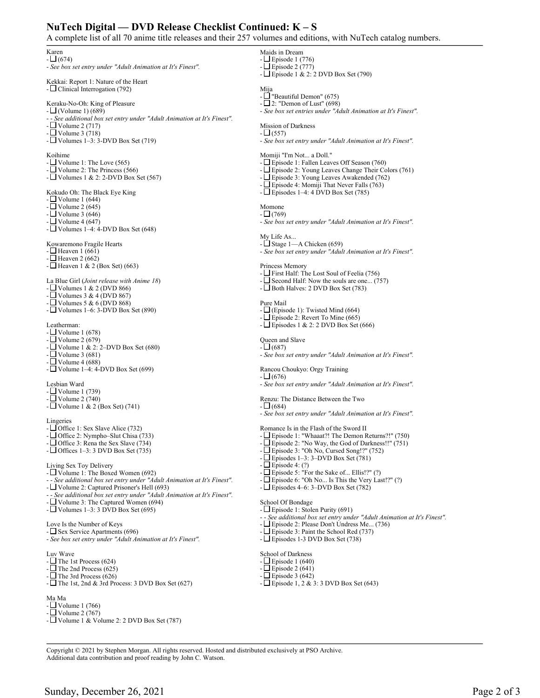## **NuTech Digital — DVD Release Checklist Continued: K – S**

A complete list of all 70 anime title releases and their 257 volumes and editions, with NuTech catalog numbers.

Karen

 $-L$  (674) - *See box set entry under "Adult Animation at It's Finest".*

Kekkai: Report 1: Nature of the Heart - Clinical Interrogation (792)

Keraku-No-Oh: King of Pleasure

- $\Box$  (Volume 1) (689)
- - *See additional box set entry under "Adult Animation at It's Finest".*

 $-\Box$  Volume 2 (717)

 $\Box$  Volume 3 (718) -  $\Box$  Volumes 1–3: 3-DVD Box Set (719)

Koihime

- $\Box$  Volume 1: The Love (565)
- $\Box$  Volume 2: The Princess (566)
- $\Box$  Volumes 1 & 2: 2-DVD Box Set (567)

Kokudo Oh: The Black Eye King

- $-L$  Volume 1 (644)
- $\Box$  Volume 2 (645)
- Volume 3 (646)
- Volume 4 (647)
- $\Box$  Volumes 1–4: 4-DVD Box Set (648)
- Kowaremono Fragile Hearts
- $\Box$  Heaven 1 (661)
- $\Box$  Heaven 2 (662)
- $\Box$  Heaven 1 & 2 (Box Set) (663)

La Blue Girl (*Joint release with Anime 18*)

- $\Box$  Volumes 1 & 2 (DVD 866)
- $\Box$  Volumes 3 & 4 (DVD 867)
- $\Box$  Volumes 5 & 6 (DVD 868)
- Volumes 1–6: 3-DVD Box Set (890)

Leatherman:

- $-$  Volume 1 (678)
- $\Box$  Volume 2 (679)
- $\Box$  Volume 1 & 2: 2–DVD Box Set (680)
- Volume 3 (681)
- Volume 4 (688)
- $\Box$  Volume 1–4: 4-DVD Box Set (699)

Lesbian Ward

- Volume 1 (739)
- Volume 2 (740)
- Volume 1 & 2 (Box Set) (741)

Lingeries

- $-\Box$  Office 1: Sex Slave Alice (732)
- Office 2: Nympho–Slut Chisa (733)
- Office 3: Rena the Sex Slave (734)
- $\Box$  Offices 1–3: 3 DVD Box Set (735)

Living Sex Toy Delivery

- $\Box$  Volume 1: The Boxed Women (692)
- - *See additional box set entry under "Adult Animation at It's Finest".*
- Volume 2: Captured Prisoner's Hell (693)
- - *See additional box set entry under "Adult Animation at It's Finest".*

Copyright © 2021 by Stephen Morgan. All rights reserved. Hosted and distributed exclusively at PSO Archive.

- Volume 3: The Captured Women (694)
- $\Box$  Volumes 1–3: 3 DVD Box Set (695)

Love Is the Number of Keys

- Sex Service Apartments (696)

- *See box set entry under "Adult Animation at It's Finest".*

Luv Wave

-  $\Box$  The 1st Process (624)

- $\Box$  The 2nd Process (625)
- $-L$  The 3rd Process (626)
- $\Box$  The 1st, 2nd & 3rd Process: 3 DVD Box Set (627)

## Ma Ma

- Volume 1 (766)
- Volume 2 (767)
- $\Box$  Volume 1 & Volume 2: 2 DVD Box Set (787)

Additional data contribution and proof reading by John C. Watson.

- Maids in Dream - Episode 1 (776) - Episode 2 (777)
- $\Box$  Episode 1 & 2: 2 DVD Box Set (790)
- Mija
- $\Box$  "Beautiful Demon" (675)
- $-L \supseteq 2$ : "Demon of Lust" (698)
- *See box set entries under "Adult Animation at It's Finest".*

Mission of Darkness  $-$  (557)

- *See box set entry under "Adult Animation at It's Finest".*

Momiji "I'm Not... a Doll."

- Episode 1: Fallen Leaves Off Season (760)
- Episode 2: Young Leaves Change Their Colors (761)
- Episode 3: Young Leaves Awakended (762)
- $-L$  Episode 4: Momiji That Never Falls (763)
- $-\Box$  Episodes 1–4: 4 DVD Box Set (785)
- Momone
- $(769)$
- *See box set entry under "Adult Animation at It's Finest".*

My Life As...

- $\Box$  Stage 1—A Chicken (659)
- *See box set entry under "Adult Animation at It's Finest".*

Princess Memory

- First Half: The Lost Soul of Feelia (756)
- Second Half: Now the souls are one... (757)
- $-\Box$  Both Halves: 2 DVD Box Set (783)
- Pure Mail
- $-\Box$  (Episode 1): Twisted Mind (664)
- Episode 2: Revert To Mine (665)
- $\Box$  Episodes 1 & 2: 2 DVD Box Set (666)
- Queen and Slave

 $-\Box$  Episode 4: (?)

School Of Bondage

School of Darkness  $-\Box$  Episode 1 (640)  $-L$  Episode 2 (641) - Episode 3 (642)

Sunday, December 26, 2021 Page 2 of 3

- $-$  (687) - *See box set entry under "Adult Animation at It's Finest".*
- Rancou Choukyo: Orgy Training
- $\Box (676)$
- *See box set entry under "Adult Animation at It's Finest".*

Renzu: The Distance Between the Two

Romance Is in the Flash of the Sword II

 $- \Box (684)$ 

-  $\Box$  Episode 5: "For the Sake of... Ellis!?" (?)  $-\Box$  Episode 6: "Oh No... Is This the Very Last!?" (?)

- Episode 2: Please Don't Undress Me... (736) Episode 3: Paint the School Red (737) - Episodes 1-3 DVD Box Set (738)

-  $\square$  Episode 1, 2 & 3: 3 DVD Box Set (643)

 $-\Box$  Episodes 4–6: 3–DVD Box Set (782)

- Episode 1: Stolen Purity (691)

- *See box set entry under "Adult Animation at It's Finest".*

 $-L$  Episode 1: "Whaaat?! The Demon Returns?!" (750)  $-L$  Episode 2: "No Way, the God of Darkness!!" (751) - Episode 3: "Oh No, Cursed Song!?" (752)  $\exists$  Episodes 1–3: 3–DVD Box Set (781)

- - *See additional box set entry under "Adult Animation at It's Finest".*